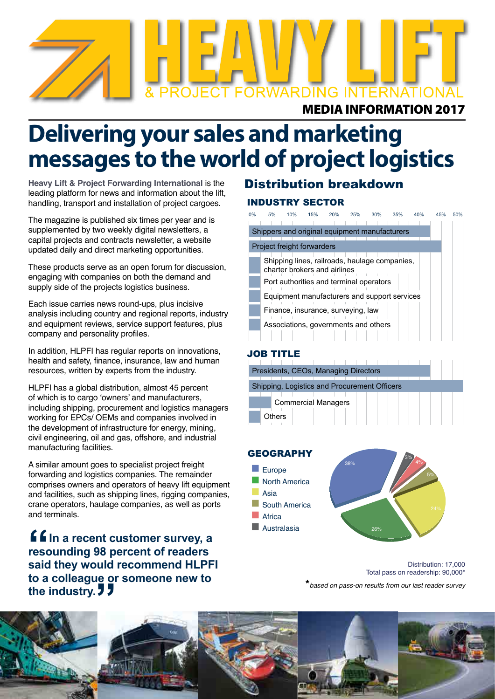

## **Delivering your sales and marketing messages to the world of project logistics**

**Heavy Lift & Project Forwarding International** is the leading platform for news and information about the lift, handling, transport and installation of project cargoes.

The magazine is published six times per year and is supplemented by two weekly digital newsletters, a capital projects and contracts newsletter, a website updated daily and direct marketing opportunities.

These products serve as an open forum for discussion, engaging with companies on both the demand and supply side of the projects logistics business.

Each issue carries news round-ups, plus incisive analysis including country and regional reports, industry and equipment reviews, service support features, plus company and personality profiles.

In addition, HLPFI has regular reports on innovations, health and safety, finance, insurance, law and human resources, written by experts from the industry.

HLPFI has a global distribution, almost 45 percent of which is to cargo 'owners' and manufacturers, including shipping, procurement and logistics managers working for EPCs/ OEMs and companies involved in the development of infrastructure for energy, mining, civil engineering, oil and gas, offshore, and industrial manufacturing facilities.

A similar amount goes to specialist project freight forwarding and logistics companies. The remainder comprises owners and operators of heavy lift equipment and facilities, such as shipping lines, rigging companies, crane operators, haulage companies, as well as ports and terminals.

**f f** In a recent customer survey, a **resounding 98 percent of readers said they would recommend HLPFI to a colleague or someone new to**  the industry. **J J** 

### INDUSTRY SECTOR Distribution breakdown

0% 5% 10% 15% 20% 25% 30% 35% 40% 45% 50% Shippers and original equipment manufacturers Project freight forwarders Shipping lines, railroads, haulage companies, charter brokers and airlines Port authorities and terminal operators Equipment manufacturers and support services Finance, insurance, surveying, law Associations, governments and others

### JOB TITLE

| Presidents, CEOs, Managing Directors |                                              |  |  |  |  |  |  |  |  |  |  |  |  |  |  |
|--------------------------------------|----------------------------------------------|--|--|--|--|--|--|--|--|--|--|--|--|--|--|
|                                      |                                              |  |  |  |  |  |  |  |  |  |  |  |  |  |  |
|                                      | Shipping, Logistics and Procurement Officers |  |  |  |  |  |  |  |  |  |  |  |  |  |  |
|                                      |                                              |  |  |  |  |  |  |  |  |  |  |  |  |  |  |
|                                      | <b>Commercial Managers</b>                   |  |  |  |  |  |  |  |  |  |  |  |  |  |  |
|                                      | Others                                       |  |  |  |  |  |  |  |  |  |  |  |  |  |  |

### **GEOGRAPHY**



Distribution: 17,000 Total pass on readership: 90,000\*

**\****based on pass-on results from our last reader survey*

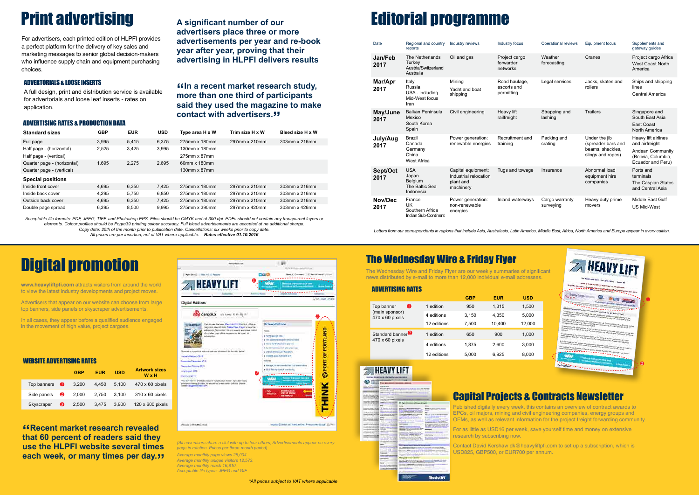#### ADVERTISING RATES & PRODUCTION DATA

| <b>Standard sizes</b>       | <b>GBP</b> | <b>EUR</b> | <b>USD</b> | Type area H x W         | Trim size H x W | Bleed size H x W |
|-----------------------------|------------|------------|------------|-------------------------|-----------------|------------------|
| Full page                   | 3.995      | 5.415      | 6.375      | 275mm x 180mm           | 297mm x 210mm   | 303mm x 216mm    |
| Half page - (horizontal)    | 2,525      | 3,425      | 3,995      | 130mm x 180mm           |                 |                  |
| Half page - (vertical)      |            |            |            | 275mm x 87mm            |                 |                  |
| Quarter page - (horizontal) | 1.695      | 2.275      | 2.695      | 60mm x 180mm            |                 |                  |
| Quarter page - (vertical)   |            |            |            | 130 $mm \times$ 87 $mm$ |                 |                  |
| <b>Special positions</b>    |            |            |            |                         |                 |                  |
| Inside front cover          | 4.695      | 6.350      | 7,425      | 275mm x 180mm           | 297mm x 210mm   | 303mm x 216mm    |
| Inside back cover           | 4.295      | 5.750      | 6.850      | 275mm x 180mm           | 297mm x 210mm   | 303mm x 216mm    |
| Outside back cover          | 4.695      | 6.350      | 7.425      | 275mm x 180mm           | 297mm x 210mm   | 303mm x 216mm    |
| Double page spread          | 6,395      | 8.500      | 9,995      | 275mm x 390mm           | 297mm x 420mm   | 303mm x 426mm    |

*Acceptable file formats: PDF, JPEG, TIFF, and Photoshop EPS. Files should be CMYK and at 300 dpi. PDFs should not contain any transparent layers or elements. Colour profiles should be Fogra39 printing colour accuracy. Full bleed advertisements are accepted at no additional charge. Copy date: 25th of the month prior to publication date. Cancellations: six weeks prior to copy date.*

*All prices are per insertion, net of VAT where applicable. Rates effective 01.10.2016*

### ADVERTORIALS & LOOSE INSERTS

A full design, print and distribution service is available for advertorials and loose leaf inserts - rates on application.

## The Wednesday Wire & Friday Flyer

**"Recent market research revealed that 60 percent of readers said they use the HLPFI website several times each week, or many times per day.**" The Wednesday Wire and Friday Flyer are our weekly summaries of significant news distributed by e-mail to more than 12,000 individual e-mail addresses.

## Capital Projects & Contracts Newsletter

Published digitally every week, this contains an overview of contract awards to EPCs, oil majors, mining and civil engineering companies, energy groups and OEMs, as well as relevant information for the project freight forwarding community.

For as little as USD16 per week, save yourself time and money on extensive research by subscribing now.

Contact David Kershaw dk@heavyliftpfi.com to set up a subscription, which is USD825, GBP500, or EUR700 per annum.

*Letters from our correspondents in regions that include Asia, Australasia, Latin America, Middle East, Africa, North America and Europe appear in every edition.*

#### ADVERTISING RATES

*(All advertisers share a slot with up to four others, Advertisements appear on every page in rotation. Prices per three-month period).*

In all cases, they appear before a qualified audience engaged in the movement of high value, project cargoes.

> *Average monthly page views 25,004. Average monthly unique visitors 12,573. Average monthly reach 16,810. Acceptable file types: JPEG and GIF.*

**"In a recent market research study, more than one third of participants** 

**said they used the magazine to make** 

**contact with advertisers."**

*\*All prices subject to VAT where applicable*

# **Print advertising** A significant number of our **Editorial programme**

For advertisers, each printed edition of HLPFI provides a perfect platform for the delivery of key sales and marketing messages to senior global decision-makers who influence supply chain and equipment purchasing choices.

**A significant number of our** 

**advertisers place three or more** 

**advertisements per year and re-book** 

**year after year, proving that their** 

**advertising in HLPFI delivers results**

|                                          |             | <b>GBP</b> | <b>EUR</b> | <b>USD</b> |
|------------------------------------------|-------------|------------|------------|------------|
| o<br>Top banner                          | 1 edition   | 950        | 1.315      | 1,500      |
| (main sponsor)<br>$470 \times 60$ pixels | 4 editions  | 3,150      | 4,350      | 5,000      |
|                                          | 12 editions | 7,500      | 10,400     | 12,000     |
| Standard banner <sup>2</sup>             | 1 edition   | 650        | 900        | 1,000      |
| $470 \times 60$ pixels                   | 4 editions  | 1.875      | 2.600      | 3,000      |
|                                          | 12 editions | 5,000      | 6.925      | 8.000      |

## **ZA HEAVY LIFT**

|                                                                        | ---                                                                                |                                                                                                                              |                                                                   |
|------------------------------------------------------------------------|------------------------------------------------------------------------------------|------------------------------------------------------------------------------------------------------------------------------|-------------------------------------------------------------------|
| <b>Charles Carl</b>                                                    |                                                                                    |                                                                                                                              |                                                                   |
| <b>CONTRACTOR</b>                                                      | <b><i><u>Bradit Millers (B)</u></i></b>                                            |                                                                                                                              |                                                                   |
| <b>CONTRACTOR</b>                                                      |                                                                                    | The SPR (Park to 187) south a first procedure of the company of the con-<br>the common course is seen thinking only the seat |                                                                   |
|                                                                        |                                                                                    |                                                                                                                              |                                                                   |
| testing at the model condition                                         | <b><i><u>Separate Adviser Controller</u></i></b>                                   |                                                                                                                              |                                                                   |
| division shake your couple                                             |                                                                                    |                                                                                                                              |                                                                   |
| CONTRACTOR AND INCOME.<br>part to the statement development            | Mark Co. Three                                                                     |                                                                                                                              |                                                                   |
| and a domestic and signified                                           | <b>Disk college cold</b>                                                           |                                                                                                                              |                                                                   |
| <b>Court committee</b>                                                 | <b>Company Cold Health</b>                                                         |                                                                                                                              |                                                                   |
| and and considerable<br><b>CONTRACTOR</b>                              | <b><i>COLUMN</i></b><br><b>September</b>                                           |                                                                                                                              |                                                                   |
| <b>Announced Art Art and Themsell and</b>                              | $-0.5 - 0.00$                                                                      |                                                                                                                              |                                                                   |
| 2002209                                                                |                                                                                    |                                                                                                                              |                                                                   |
| <b><i><u>Products College &amp; Free World</u></i></b>                 | $- - - -$<br>and contract the contract of the                                      | dentenn finns van José                                                                                                       |                                                                   |
| <b>EXECUTIVE CONTRACTORY FOR THE ANNOUNCEMENT</b>                      | -                                                                                  | <b>Elizabeth commercial control and</b><br><b>THE STATISTICS</b>                                                             |                                                                   |
| Andrea concentro de Contabilida<br>and characterized and characterized | This is at a more further than the                                                 | Company of Company and Company and Company                                                                                   |                                                                   |
|                                                                        | <b>THE REPORT OF A STATE OF</b>                                                    | to the attention register this are                                                                                           | <b>RELATION CONTRACTOR</b>                                        |
| ------                                                                 |                                                                                    | state sease half around 12.                                                                                                  | and the company of the                                            |
| Auto Start and Law Hall and                                            |                                                                                    | <b>CONTRACTOR</b> VALUE                                                                                                      | <b>Product definition of the</b>                                  |
| THE R CAR AN THE R PERMIT &<br><b>EXECUTIVE DISTURBANCE</b>            | <b>With Contract Contract</b><br>---                                               | The company's company's the                                                                                                  | <b>BERGERALD COLUMN TWO WAY</b><br><b>Brooklynd and Committee</b> |
|                                                                        | and the contract of the con-<br>----<br>which are no publications.                 | Manhood also allocated that communications<br>cased also at the conferent color-                                             | Advanced and property of<br><b>STATISTICS</b>                     |
| www.communications.com<br>and the control of the American              | Stage on Art 4-6 following                                                         |                                                                                                                              | <b>Britis commercial</b>                                          |
|                                                                        | control and with \$1.5 Millioners and                                              | <b>SURFACE AND INTERNATIONAL PROPERTY</b><br><b>RESIDENCE AND A LOCAL CONTRACTOR</b>                                         | <b><i>AND FRAUDUP</i></b><br><b>Residence Life Associate</b>      |
| A control of the Council of the<br>contact of the top standards to     | <b>CONTRACTOR</b><br><b>STATISTICS</b>                                             | The company's sign that the property of the                                                                                  | a door displayed the country with                                 |
| processing an accuracy processing the                                  |                                                                                    | and the property of the control of the anti-<br>mental property and the control of the                                       | ---                                                               |
| <b><i><u>State comments</u></i></b>                                    | ----                                                                               | and the same<br>$\sim$                                                                                                       | an an education when prices                                       |
| <b>Vicence Add</b>                                                     | ---                                                                                | Production could in Jackson Product to the                                                                                   | <b>Parts commenced by the Co</b>                                  |
| <b>Change of the American Service</b>                                  | come spring in this or de an animale \$10.                                         | the control of the control of<br>-<br>and the property of the control of the con-                                            | <b>STATISTICS</b>                                                 |
| ---<br>---<br>service and the company of the pro-                      | <b>Construction of the AM Advertising</b>                                          | to any party company of the control and when                                                                                 |                                                                   |
|                                                                        | and a standard Virginian and                                                       | and with streets - it should be the first state.                                                                             |                                                                   |
| $-111$                                                                 | distances in a large controller in                                                 | considerable of the first book and the<br><b>HARAS HE CAN CATEDRAL</b>                                                       |                                                                   |
|                                                                        | In answer colors a maximum                                                         |                                                                                                                              |                                                                   |
|                                                                        |                                                                                    |                                                                                                                              |                                                                   |
|                                                                        | <b><i><u>Series Alle Allers Instantial Contact </u></i></b>                        |                                                                                                                              |                                                                   |
|                                                                        | <b>Box call in the country light and</b><br><b>Committee State &amp; Committee</b> | --<br><b>Readment send in Strategical In-</b>                                                                                | and continued that this way                                       |
|                                                                        | top complete all collection                                                        | <b>Manager State Country of the</b>                                                                                          | <b>ALL ARTISTS CONTROLLED</b>                                     |
|                                                                        | <b>THEIR AND</b>                                                                   | the company's beauty with the books                                                                                          |                                                                   |
|                                                                        | <b>English &amp; qualified at all states</b>                                       | in expect 1 plants were last about \$1.00 to<br>disposal a distribution that is                                              |                                                                   |
|                                                                        |                                                                                    |                                                                                                                              |                                                                   |
|                                                                        |                                                                                    |                                                                                                                              |                                                                   |
|                                                                        |                                                                                    |                                                                                                                              | -----                                                             |
|                                                                        |                                                                                    | and these form will believe a<br><b>Secretary County</b>                                                                     |                                                                   |
|                                                                        |                                                                                    |                                                                                                                              |                                                                   |
|                                                                        |                                                                                    | <b>Electron State Inc.</b>                                                                                                   |                                                                   |
|                                                                        |                                                                                    | <b>Advised &amp; Advised</b><br><b>Senior Advised Asian</b>                                                                  |                                                                   |
|                                                                        | -                                                                                  |                                                                                                                              |                                                                   |
|                                                                        |                                                                                    |                                                                                                                              |                                                                   |
|                                                                        |                                                                                    |                                                                                                                              |                                                                   |

**Modulif** 

| Date             | Regional and country<br>reports                                      | Industry reviews                                                      | <b>Industry focus</b>                      | <b>Operational reviews</b>  | <b>Equipment focus</b>                                                       | Supplements and<br>gateway guides                                                                     |
|------------------|----------------------------------------------------------------------|-----------------------------------------------------------------------|--------------------------------------------|-----------------------------|------------------------------------------------------------------------------|-------------------------------------------------------------------------------------------------------|
| Jan/Feb<br>2017  | The Netherlands<br>Turkey<br>Austria/Switzerland<br>Australia        | Oil and gas                                                           | Project cargo<br>forwarder<br>networks     | Weather<br>forecasting      | Cranes                                                                       | Project cargo Africa<br><b>West Coast North</b><br>America                                            |
| Mar/Apr<br>2017  | Italy<br>Russia<br>USA - including<br>Mid-West focus<br>Iran         | Mining<br>Yacht and boat<br>shipping                                  | Road haulage,<br>escorts and<br>permitting | Legal services              | Jacks, skates and<br>rollers                                                 | Ships and shipping<br>lines<br><b>Central America</b>                                                 |
| May/June<br>2017 | <b>Balkan Peninsula</b><br>Mexico<br>South Korea<br>Spain            | Civil engineering                                                     | Heavy lift<br>railfreight                  | Strapping and<br>lashing    | <b>Trailers</b>                                                              | Singapore and<br>South East Asia<br>East Coast<br><b>North America</b>                                |
| July/Aug<br>2017 | <b>Brazil</b><br>Canada<br>Germany<br>China<br><b>West Africa</b>    | Power generation:<br>renewable energies                               | Recruitment and<br>training                | Packing and<br>crating      | Under the jib<br>(spreader bars and<br>beams, shackles,<br>slings and ropes) | Heavy lift airlines<br>and airfreight<br>Andean Community<br>(Bolivia, Columbia,<br>Ecuador and Peru) |
| Sept/Oct<br>2017 | <b>USA</b><br>Japan<br><b>Belgium</b><br>The Baltic Sea<br>Indonesia | Capital equipment:<br>Industrial relocation<br>plant and<br>machinery | Tugs and towage                            | Insurance                   | Abnormal load<br>equipment hire<br>companies                                 | Ports and<br>terminals<br>The Caspian States<br>and Central Asia                                      |
| Nov/Dec<br>2017  | France<br>UK<br>Southern Africa<br>Indian Sub-Continent              | Power generation:<br>non-renewable<br>energies                        | Inland waterways                           | Cargo warranty<br>surveying | Heavy duty prime<br>movers                                                   | Middle East Gulf<br><b>US Mid-West</b>                                                                |





## Digital promotion

**www.heavyliftpfi.com** attracts visitors from around the world to view the latest industry developments and project moves.

Advertisers that appear on our website can choose from large top banners, side panels or skyscraper advertisements.

### WEBSITE ADVERTISING RATES

|                       |   | <b>GBP</b> | EUR   | <b>USD</b> | <b>Artwork sizes</b><br><b>W</b> x H |
|-----------------------|---|------------|-------|------------|--------------------------------------|
| Top banners $\bullet$ |   | 3,200      | 4.450 | 5.100      | $470 \times 60$ pixels               |
| Side panels $\bullet$ |   | 2.000      | 2.750 | 3.100      | $310 \times 60$ pixels               |
| Skyscraper            | ❸ | 2.500      | 3.475 | 3.900      | 120 x 600 pixels                     |